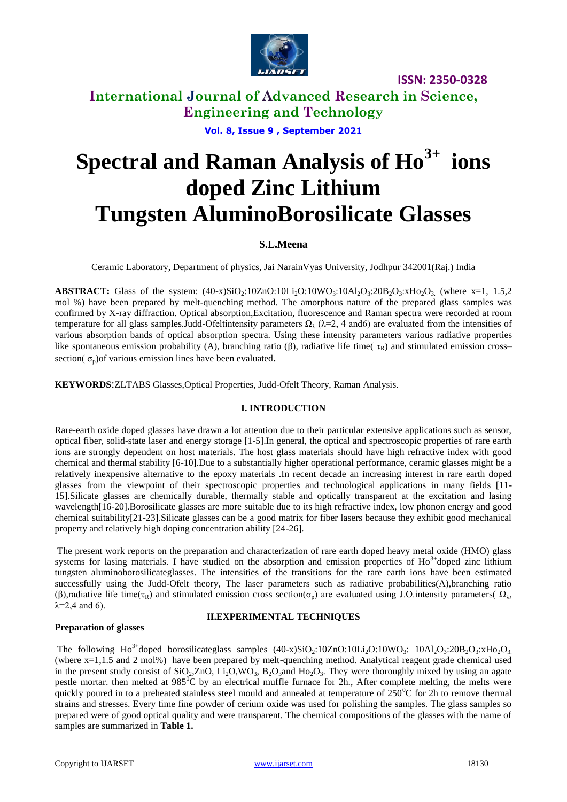

# **International Journal of Advanced Research in Science, Engineering and Technology**

**Vol. 8, Issue 9 , September 2021**

# **Spectral and Raman Analysis of Ho3+ ions doped Zinc Lithium Tungsten AluminoBorosilicate Glasses**

# **S.L.Meena**

Ceramic Laboratory, Department of physics, Jai NarainVyas University, Jodhpur 342001(Raj.) India

**ABSTRACT:** Glass of the system:  $(40-x)SiO<sub>2</sub>:10ZnO:10Li<sub>2</sub>O:10WO<sub>3</sub>:10Al<sub>2</sub>O<sub>3</sub>:20B<sub>2</sub>O<sub>3</sub>:xHo<sub>3</sub>O<sub>3</sub> (where x=1, 1.5,2)$ mol %) have been prepared by melt-quenching method. The amorphous nature of the prepared glass samples was confirmed by X-ray diffraction. Optical absorption,Excitation, fluorescence and Raman spectra were recorded at room temperature for all glass samples.Judd-Ofeltintensity parameters  $\Omega_\lambda$  ( $\lambda$ =2, 4 and6) are evaluated from the intensities of various absorption bands of optical absorption spectra. Using these intensity parameters various radiative properties like spontaneous emission probability (A), branching ratio (β), radiative life time( $τ_R$ ) and stimulated emission cross– section( $\sigma_p$ )of various emission lines have been evaluated.

**KEYWORDS**:ZLTABS Glasses,Optical Properties, Judd-Ofelt Theory, Raman Analysis.

### **I. INTRODUCTION**

Rare-earth oxide doped glasses have drawn a lot attention due to their particular extensive applications such as sensor, optical fiber, solid-state laser and energy storage [1-5].In general, the optical and spectroscopic properties of rare earth ions are strongly dependent on host materials. The host glass materials should have high refractive index with good chemical and thermal stability [6-10].Due to a substantially higher operational performance, ceramic glasses might be a relatively inexpensive alternative to the epoxy materials .In recent decade an increasing interest in rare earth doped glasses from the viewpoint of their spectroscopic properties and technological applications in many fields [11- 15].Silicate glasses are chemically durable, thermally stable and optically transparent at the excitation and lasing wavelength[16-20].Borosilicate glasses are more suitable due to its high refractive index, low phonon energy and good chemical suitability[21-23].Silicate glasses can be a good matrix for fiber lasers because they exhibit good mechanical property and relatively high doping concentration ability [24-26].

The present work reports on the preparation and characterization of rare earth doped heavy metal oxide (HMO) glass systems for lasing materials. I have studied on the absorption and emission properties of  $Ho^{3+}$ doped zinc lithium tungsten aluminoborosilicateglasses. The intensities of the transitions for the rare earth ions have been estimated successfully using the Judd-Ofelt theory, The laser parameters such as radiative probabilities(A),branching ratio (β),radiative life time(τ<sub>R</sub>) and stimulated emission cross section( $\sigma_p$ ) are evaluated using J.O.intensity parameters(  $\Omega_\lambda$ ,  $\lambda = 2.4$  and 6).

### **Preparation of glasses**

### **II.EXPERIMENTAL TECHNIQUES**

The following  $Ho^{3+}$ doped borosilicateglass samples  $(40-x)SiO_2:10ZnO:10Li_2O:10WO_3$ :  $10Al_2O_3:20B_2O_3:XHo_2O_3$ (where x=1,1.5 and 2 mol%) have been prepared by melt-quenching method. Analytical reagent grade chemical used in the present study consist of  $SiO_2$ ,ZnO,  $Li_2O$ ,WO<sub>3</sub>, B<sub>2</sub>O<sub>3</sub>and Ho<sub>2</sub>O<sub>3</sub>. They were thoroughly mixed by using an agate pestle mortar. then melted at  $985^{\circ}$ C by an electrical muffle furnace for 2h., After complete melting, the melts were quickly poured in to a preheated stainless steel mould and annealed at temperature of  $250^{\circ}$ C for 2h to remove thermal strains and stresses. Every time fine powder of cerium oxide was used for polishing the samples. The glass samples so prepared were of good optical quality and were transparent. The chemical compositions of the glasses with the name of samples are summarized in **Table 1.**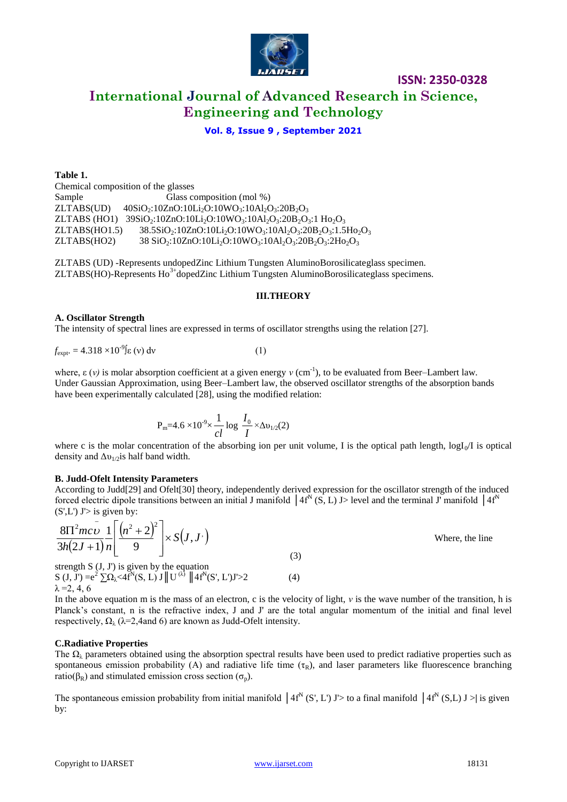

# **ISSN: 2350-0328 International Journal of Advanced Research in Science, Engineering and Technology**

### **Vol. 8, Issue 9 , September 2021**

**Table 1.** Chemical composition of the glasses Sample Glass composition (mol %)  $ZLTABS(UD) = 40SiO<sub>2</sub>:10ZnO:10Li<sub>2</sub>O:10WO<sub>3</sub>:10Al<sub>2</sub>O<sub>3</sub>:20B<sub>2</sub>O<sub>3</sub>$ ZLTABS (HO1)  $39SiO_2:10ZnO:10Li_2O:10WO_3:10Al_2O_3:20B_2O_3:1 Ho_2O_3$  $ZLTABS(HO1.5)$  38.5SiO<sub>2</sub>:10ZnO:10Li<sub>2</sub>O:10WO<sub>3</sub>:10Al<sub>2</sub>O<sub>3</sub>:20B<sub>2</sub>O<sub>3</sub>:1.5Ho<sub>2</sub>O<sub>3</sub> ZLTABS(HO2) 38 SiO<sub>2</sub>:10ZnO:10Li<sub>2</sub>O:10WO<sub>3</sub>:10Al<sub>2</sub>O<sub>3</sub>:20B<sub>2</sub>O<sub>3</sub>:2Ho<sub>2</sub>O<sub>3</sub>

ZLTABS (UD) -Represents undopedZinc Lithium Tungsten AluminoBorosilicateglass specimen.  $ZLTABS(HO)$ -Represents  $Ho<sup>3+</sup>dopedZinc. Lithium Tungsten. Alumino Borosilicateglass specimens.$ 

### **III.THEORY**

### **A. Oscillator Strength**

The intensity of spectral lines are expressed in terms of oscillator strengths using the relation [27].

$$
f_{\text{expt}} = 4.318 \times 10^{-9} \text{g (v) dv} \tag{1}
$$

where,  $\varepsilon$  (*v*) is molar absorption coefficient at a given energy *v* (cm<sup>-1</sup>), to be evaluated from Beer–Lambert law. Under Gaussian Approximation, using Beer–Lambert law, the observed oscillator strengths of the absorption bands have been experimentally calculated [28], using the modified relation:

$$
P_m=4.6\times10^{-9}\times\frac{1}{cl}\log\frac{I_0}{I}\times\Delta v_{1/2}(2)
$$

where c is the molar concentration of the absorbing ion per unit volume, I is the optical path length,  $logI_0/I$  is optical density and  $\Delta v_{1/2}$  half band width.

### **B. Judd-Ofelt Intensity Parameters**

According to Judd[29] and Ofelt[30] theory, independently derived expression for the oscillator strength of the induced forced electric dipole transitions between an initial J manifold  $(4f^N(S, L)$  J> level and the terminal J' manifold  $(4f^N(S, L)$  $(S', L')$  J'> is given by:

$$
\frac{8\pi^{2}mc\bar{\upsilon}}{3h(2J+1)}\frac{1}{n}\left[\frac{(n^{2}+2)^{2}}{9}\right] \times S(J,J')
$$
  
strength S (J, J') is given by the equation  
(3)

 $S (J, J') = e^2 \sum \Omega_{\lambda} < 4f^N(S, L) J ||U^{(\lambda)} || 4f^N(S', L')J' > 2$  (4)  $λ = 2, 4, 6$ 

In the above equation m is the mass of an electron, c is the velocity of light, *ν* is the wave number of the transition, h is Planck's constant, n is the refractive index, J and J' are the total angular momentum of the initial and final level respectively,  $\Omega_{\lambda}$  ( $\lambda$ =2,4and 6) are known as Judd-Ofelt intensity.

### **C.Radiative Properties**

The  $\Omega_{\lambda}$  parameters obtained using the absorption spectral results have been used to predict radiative properties such as spontaneous emission probability (A) and radiative life time  $(\tau_R)$ , and laser parameters like fluorescence branching ratio( $\beta_R$ ) and stimulated emission cross section ( $\sigma_p$ ).

The spontaneous emission probability from initial manifold  $4f^N(S, L) J$  > to a final manifold  $4f^N(S, L) J$  > is given by:

Where, the line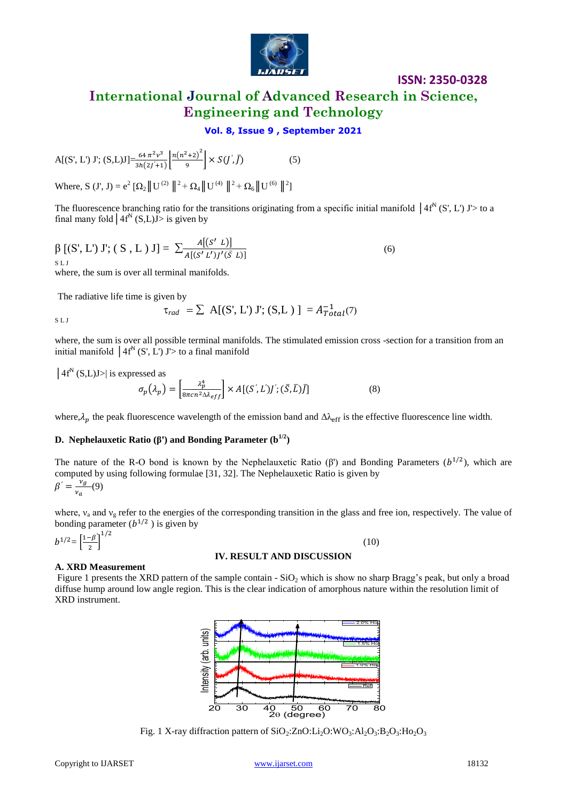

# **International Journal of Advanced Research in Science, Engineering and Technology**

## **Vol. 8, Issue 9 , September 2021**

(5)

$$
A[(S', L') J'; (S, L)J] = \frac{64 \pi^2 \nu^3}{3h(2j + 1)} \left[ \frac{n(n^2 + 2)^2}{9} \right] \times S(J', \bar{J})
$$

Where, S (J', J) =  $e^2 [\Omega_2 || U^{(2)} ||^2 + \Omega_4 || U^{(4)} ||^2 + \Omega_6 || U^{(6)} ||^2]$ 

The fluorescence branching ratio for the transitions originating from a specific initial manifold  $|4f^N(S, L) J| > 0$  a final many fold  $\left| 4f^N(S,L)J \right| >$  is given by

$$
\beta [(S', L') J'; (S, L) J] = \sum_{A[(S' L')J'(\bar{S} L)]}^{A[(S' L)]}
$$
\n(6)

where, the sum is over all terminal manifolds.

The radiative life time is given by

$$
\tau_{rad} = \sum A[(S', L') J'; (S, L)] = A_{Total}^{-1}(7)
$$

S L J

where, the sum is over all possible terminal manifolds. The stimulated emission cross -section for a transition from an initial manifold  $(4f^N(S', L'))$  J'> to a final manifold

 $|4f^N(S,L)J\rangle$  is expressed as

$$
\sigma_p(\lambda_p) = \left[\frac{\lambda_p^4}{8\pi c n^2 \Delta \lambda_{eff}}\right] \times A[(S', L')j'; (\bar{S}, \bar{L})\bar{J}]
$$
\n(8)

where,  $\lambda_n$  the peak fluorescence wavelength of the emission band and  $\Delta \lambda_{\text{eff}}$  is the effective fluorescence line width.

### **D.** Nephelauxetic Ratio (β') and Bonding Parameter  $(b^{1/2})$

The nature of the R-O bond is known by the Nephelauxetic Ratio  $(\beta')$  and Bonding Parameters  $(b^{1/2})$ , which are computed by using following formulae [31, 32]. The Nephelauxetic Ratio is given by  $\beta' = \frac{\nu}{\mu}$  $\frac{v_g}{v_a}(9)$ 

where,  $v_a$  and  $v_g$  refer to the energies of the corresponding transition in the glass and free ion, respectively. The value of bonding parameter  $(b^{1/2})$  is given by

$$
b^{1/2} = \left[\frac{1-\beta'}{2}\right]^{1/2}
$$

### **IV. RESULT AND DISCUSSION**

(10)

### **A. XRD Measurement**

Figure 1 presents the XRD pattern of the sample contain -  $SiO<sub>2</sub>$  which is show no sharp Bragg's peak, but only a broad diffuse hump around low angle region. This is the clear indication of amorphous nature within the resolution limit of XRD instrument.

 $\frac{20}{20}$  30 40 50 60 70 80<br>Fig. 1 X-ray diffraction pattern of SiO<sub>2</sub>:ZnO:Li<sub>2</sub>O:WO<sub>3</sub>:Al<sub>2</sub>O<sub>3</sub>:B<sub>2</sub>O<sub>3</sub>:Ho<sub>2</sub>O<sub>3</sub>  $\frac{40}{20}$  50 60<br> $\frac{20}{20}$  (degree) Ref Intensity (arb. units) 1.0% Hotel and Communications of the Communications of the Communications of the Communications of the Communications of the Communications of the Communications of the Communications of the Comm 1.5% Ho 2.0% Ho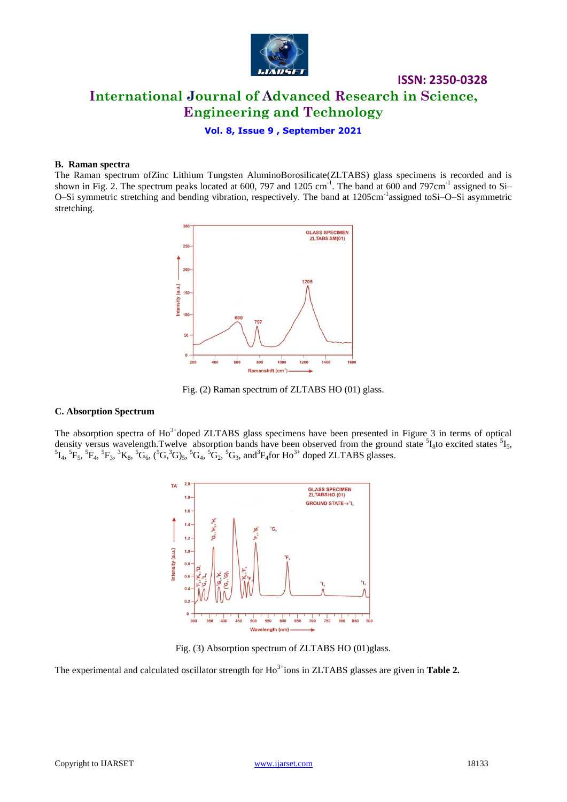

# **ISSN: 2350-0328 International Journal of Advanced Research in Science, Engineering and Technology**

**Vol. 8, Issue 9 , September 2021**

#### **B. Raman spectra**

The Raman spectrum ofZinc Lithium Tungsten AluminoBorosilicate(ZLTABS) glass specimens is recorded and is shown in Fig. 2. The spectrum peaks located at 600, 797 and 1205 cm<sup>-1</sup>. The band at 600 and 797cm<sup>-1</sup> assigned to Si-O-Si symmetric stretching and bending vibration, respectively. The band at 1205cm<sup>-1</sup>assigned toSi-O-Si asymmetric stretching.





### **C. Absorption Spectrum**

The absorption spectra of  $Ho^{3+}$ doped ZLTABS glass specimens have been presented in Figure 3 in terms of optical density versus wavelength. Twelve absorption bands have been observed from the ground state  ${}^{5}I_{8}$ to excited states  ${}^{5}I_{5}$ ,  ${}^5I_4$ ,  ${}^5F_5$ ,  ${}^5F_4$ ,  ${}^5F_3$ ,  ${}^3K_8$ ,  ${}^5G_6$ ,  ${}^6G_6$ ,  ${}^6G$ ,  ${}^3G_3$ ,  ${}^5G_2$ ,  ${}^5G_3$ , and  ${}^3F_4$  for Ho<sup>3+</sup> doped ZLTABS glasses.



Fig. (3) Absorption spectrum of ZLTABS HO (01)glass.

The experimental and calculated oscillator strength for Ho<sup>3+</sup>ions in ZLTABS glasses are given in **Table 2.**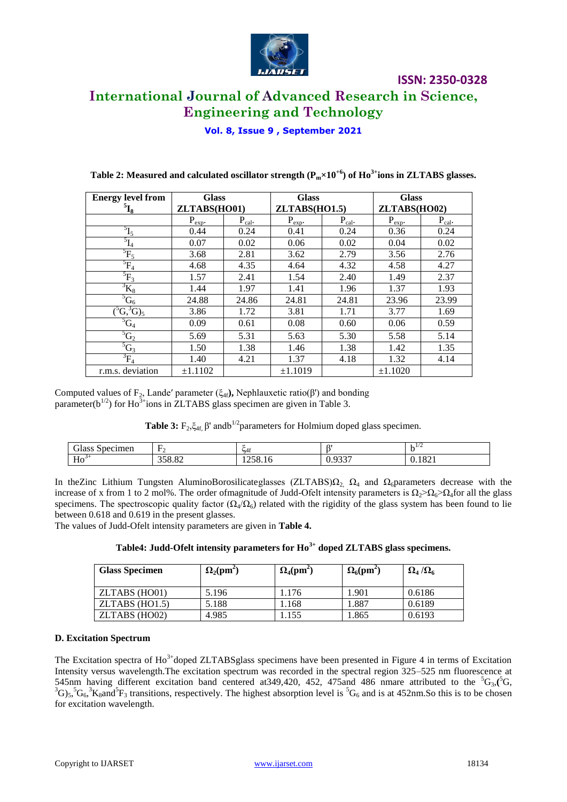

# **International Journal of Advanced Research in Science, Engineering and Technology**

**ISSN: 2350-0328**

**Vol. 8, Issue 9 , September 2021**

| <b>Energy level from</b>      | <b>Glass</b> |             | <b>Glass</b>  |             | <b>Glass</b> |             |  |
|-------------------------------|--------------|-------------|---------------|-------------|--------------|-------------|--|
| $^{5}L_{8}$                   | ZLTABS(HO01) |             | ZLTABS(HO1.5) |             | ZLTABS(HO02) |             |  |
|                               | $P_{exp}$ .  | $P_{cal}$ . | $P_{exp}$ .   | $P_{cal}$ . | $P_{exp}$ .  | $P_{cal}$ . |  |
| $^{5}I_5$                     | 0.44         | 0.24        | 0.41          | 0.24        | 0.36         | 0.24        |  |
| $\overline{5}_{\text{L}_4}$   | 0.07         | 0.02        | 0.06          | 0.02        | 0.04         | 0.02        |  |
| ${}^{5}F_5$                   | 3.68         | 2.81        | 3.62          | 2.79        | 3.56         | 2.76        |  |
| ${}^5F_4$                     | 4.68         | 4.35        | 4.64          | 4.32        | 4.58         | 4.27        |  |
| ${}^{5}F_3$                   | 1.57         | 2.41        | 1.54          | 2.40        | 1.49         | 2.37        |  |
| $\mathrm{^{3}K_{8}}$          | 1.44         | 1.97        | 1.41          | 1.96        | 1.37         | 1.93        |  |
| ${}^5G_6$                     | 24.88        | 24.86       | 24.81         | 24.81       | 23.96        | 23.99       |  |
| $\overline{({}^5G, {}^3G)_5}$ | 3.86         | 1.72        | 3.81          | 1.71        | 3.77         | 1.69        |  |
| ${}^5G_4$                     | 0.09         | 0.61        | 0.08          | 0.60        | 0.06         | 0.59        |  |
| $\overline{^5G_2}$            | 5.69         | 5.31        | 5.63          | 5.30        | 5.58         | 5.14        |  |
| $\overline{G}_3$              | 1.50         | 1.38        | 1.46          | 1.38        | 1.42         | 1.35        |  |
| ${}^3F_4$                     | 1.40         | 4.21        | 1.37          | 4.18        | 1.32         | 4.14        |  |
| r.m.s. deviation              | ±1.1102      |             | ±1.1019       |             | ±1.1020      |             |  |

**Table 2: Measured and calculated oscillator strength (Pm×10+6) of Ho3+ions in ZLTABS glasses.**

Computed values of F<sub>2</sub>, Lande' parameter ( $\xi_{4f}$ ), Nephlauxetic ratio( $\beta$ ') and bonding parameter( $b^{1/2}$ ) for Ho<sup>3+</sup>ions in ZLTABS glass specimen are given in Table 3.

**Table 3:**  $F_2, \xi_{4f}$ ,  $\beta'$  and  $b^{1/2}$  parameters for Holmium doped glass specimen.

| $\sim$<br>ipecimen<br>. viasc<br>сын<br>ມເ | $\overline{\phantom{a}}$                   |         | $^{\circ}$              | $-1/4$                   |
|--------------------------------------------|--------------------------------------------|---------|-------------------------|--------------------------|
| <b>TT</b><br>$5^+$<br>пv                   | $\Omega$<br>$\sim$ $\sim$ $\sim$<br>JJ0.04 | 1220.10 | 0.227<br>v. <i>, J.</i> | $U \rightarrow I$<br>v.i |

In theZinc Lithium Tungsten AluminoBorosilicateglasses (ZLTABS) $\Omega_2$ ,  $\Omega_4$  and  $\Omega_6$  parameters decrease with the increase of x from 1 to 2 mol%. The order ofmagnitude of Judd-Ofelt intensity parameters is  $\Omega_2 > \Omega_6 > \Omega_4$  for all the glass specimens. The spectroscopic quality factor ( $\Omega_4/\Omega_6$ ) related with the rigidity of the glass system has been found to lie between 0.618 and 0.619 in the present glasses.

The values of Judd-Ofelt intensity parameters are given in **Table 4.**

| <b>Glass Specimen</b> | $\Omega_2$ (pm <sup>2</sup> ) | $\Omega_4$ (pm <sup>2</sup> ) | $\Omega_6$ (pm <sup>2</sup> ) | $\Omega_4/\Omega_6$ |
|-----------------------|-------------------------------|-------------------------------|-------------------------------|---------------------|
| ZLTABS (HO01)         | 5.196                         | l.176                         | l.901                         | 0.6186              |
| $ZLTABS$ (HO1.5)      | 5.188                         | . 168                         | .887                          | 0.6189              |
| ZLTABS (HO02)         | 4.985                         | .155                          | . 865                         | 0.6193              |

### **Table4: Judd-Ofelt intensity parameters for Ho3+ doped ZLTABS glass specimens.**

### **D. Excitation Spectrum**

The Excitation spectra of Ho<sup>3+</sup>doped ZLTABSglass specimens have been presented in Figure 4 in terms of Excitation Intensity versus wavelength.The excitation spectrum was recorded in the spectral region 325–525 nm fluorescence at 545nm having different excitation band centered at 349,420, 452, 475 and 486 nmare attributed to the  ${}^5G_3$ , ${}^5G_5$ ,  ${}^3G_5$ ,  ${}^5G_6$ ,  ${}^3K_8$  and  ${}^5F_3$  transitions, respectively. The highest absorption level is  ${}^5G_6$  and is at 452nm. So this is to be chosen for excitation wavelength.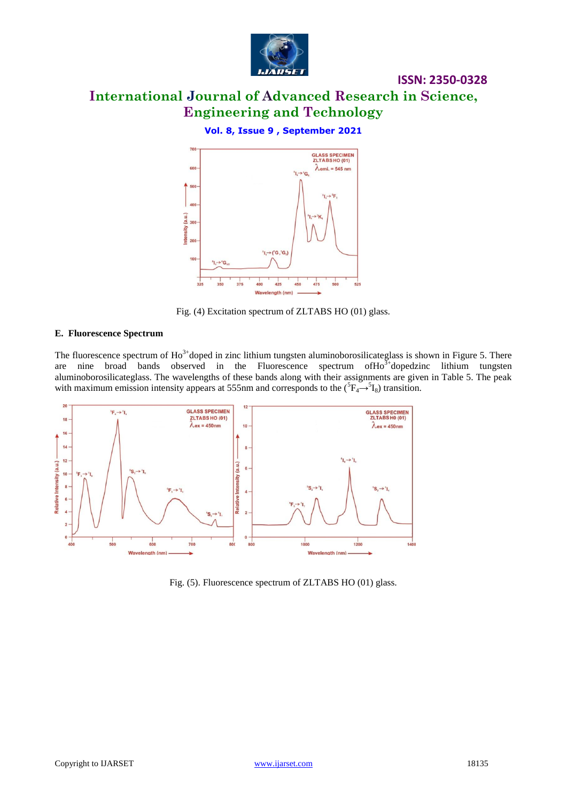

# **International Journal of Advanced Research in Science, Engineering and Technology**

**ISSN: 2350-0328**

### **Vol. 8, Issue 9 , September 2021**



Fig. (4) Excitation spectrum of ZLTABS HO (01) glass.

### **E. Fluorescence Spectrum**

The fluorescence spectrum of  $Ho^{3+}$ doped in zinc lithium tungsten aluminoborosilicateglass is shown in Figure 5. There are nine broad bands observed in the Fluorescence spectrum of  $Ho<sup>3+</sup>$ dopedzinc lithium tungsten aluminoborosilicateglass. The wavelengths of these bands along with their assignments are given in Table 5. The peak with maximum emission intensity appears at 555nm and corresponds to the  $({}^{5}F_{4} \rightarrow {}^{5}I_{8})$  transition.



Fig. (5). Fluorescence spectrum of ZLTABS HO (01) glass.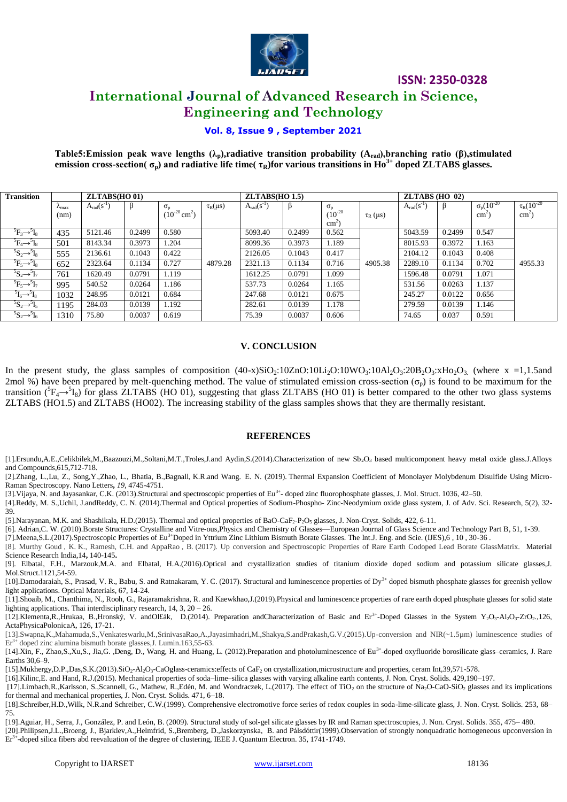

# **International Journal of Advanced Research in Science, Engineering and Technology**

### **Vol. 8, Issue 9 , September 2021**

**Table5:Emission peak wave lengths (λp),radiative transition probability (Arad),branching ratio (β),stimulated emission cross-section(**  $\sigma_p$ ) and radiative life time(  $\tau_R$ )for various transitions in Ho<sup>3+</sup> doped ZLTABS glasses.

| <b>Transition</b>             |                        | ZLTABS(HO 01)     |        |                               | ZLTABS(HO 1.5)  |                   |        | $ZLTABS$ (HO 02) |               |                   |        |                      |                     |
|-------------------------------|------------------------|-------------------|--------|-------------------------------|-----------------|-------------------|--------|------------------|---------------|-------------------|--------|----------------------|---------------------|
|                               | $\lambda_{\text{max}}$ | $A_{rad}(s^{-1})$ | ß      | $\sigma_{\rm n}$              | $\tau_R(\mu s)$ | $A_{rad}(s^{-1})$ | ß      | $\sigma_{\rm n}$ |               | $A_{rad}(s^{-1})$ |        | $\sigma_p (10^{-20}$ | $\tau_R (10^{-20})$ |
|                               | (nm)                   |                   |        | $(10^{-20}$ cm <sup>2</sup> ) |                 |                   |        | $(10^{-20}$      | $\tau_R$ (µs) |                   |        | $\text{cm}^2$        | $\text{cm}^2$       |
|                               |                        |                   |        |                               |                 |                   |        | $\text{cm}^2$    |               |                   |        |                      |                     |
| ${}^5F_3 \rightarrow {}^5I_8$ | 435                    | 5121.46           | 0.2499 | 0.580                         |                 | 5093.40           | 0.2499 | 0.562            |               | 5043.59           | 0.2499 | 0.547                |                     |
| ${}^5F_4 \rightarrow {}^5I_8$ | 501                    | 8143.34           | 0.3973 | 1.204                         |                 | 8099.36           | 0.3973 | 1.189            |               | 8015.93           | 0.3972 | 1.163                |                     |
| ${}^5S_2 \rightarrow {}^5I_8$ | 555                    | 2136.61           | 0.1043 | 0.422                         |                 | 2126.05           | 0.1043 | 0.417            |               | 2104.12           | 0.1043 | 0.408                |                     |
| ${}^5F_5 \rightarrow {}^5I_8$ | 652                    | 2323.64           | 0.1134 | 0.727                         | 4879.28         | 2321.13           | 0.1134 | 0.716            | 4905.38       | 2289.10           | 0.1134 | 0.702                | 4955.33             |
| ${}^5S_2 \rightarrow {}^5I_7$ | 761                    | 1620.49           | 0.0791 | 1.119                         |                 | 1612.25           | 0.0791 | 1.099            |               | 1596.48           | 0.0791 | 1.071                |                     |
| ${}^5F_5 \rightarrow {}^5I_7$ | 995                    | 540.52            | 0.0264 | 1.186                         |                 | 537.73            | 0.0264 | 1.165            |               | 531.56            | 0.0263 | 1.137                |                     |
| $I_6 \rightarrow 5 I_8$       | 1032                   | 248.95            | 0.0121 | 0.684                         |                 | 247.68            | 0.0121 | 0.675            |               | 245.27            | 0.0122 | 0.656                |                     |
| ${}^5S_2 \rightarrow {}^5I_5$ | 1195                   | 284.03            | 0.0139 | 1.192                         |                 | 282.61            | 0.0139 | 1.178            |               | 279.59            | 0.0139 | 1.146                |                     |
| ${}^5S_2 \rightarrow {}^5I_6$ | 1310                   | 75.80             | 0.0037 | 0.619                         |                 | 75.39             | 0.0037 | 0.606            |               | 74.65             | 0.037  | 0.591                |                     |

### **V. CONCLUSION**

In the present study, the glass samples of composition  $(40-x)SiO<sub>2</sub>:10ZnO:10Li<sub>2</sub>O:10WO<sub>3</sub>:10Al<sub>2</sub>O<sub>3</sub>:20B<sub>2</sub>O<sub>3</sub>:xHo<sub>2</sub>O<sub>3</sub> (where x =1,1.5and$ 2mol %) have been prepared by melt-quenching method. The value of stimulated emission cross-section  $(\sigma_n)$  is found to be maximum for the transition  $({}^5F_4 \rightarrow {}^5I_8)$  for glass ZLTABS (HO 01), suggesting that glass ZLTABS (HO 01) is better compared to the other two glass systems ZLTABS (HO1.5) and ZLTABS (HO02). The increasing stability of the glass samples shows that they are thermally resistant.

### **REFERENCES**

[1].Ersundu,A.E.,Celikbilek,M.,Baazouzi,M.,Soltani,M.T.,Troles,J.and Aydin,S.(2014).Characterization of new Sb<sub>2</sub>O<sub>3</sub> based multicomponent heavy metal oxide glass.J.Alloys and Compounds,615,712-718.

[2].Zhang, L.,Lu, Z., Song,Y.,Zhao, L., Bhatia, B.,Bagnall, K.R.and Wang. E. N. (2019). Thermal Expansion Coefficient of Monolayer Molybdenum Disulfide Using Micro-Raman Spectroscopy. Nano Letters**,** *19*, 4745-4751.

[3]. Vijaya, N. and Jayasankar, C.K. (2013).Structural and spectroscopic properties of Eu<sup>3+</sup>- doped zinc fluorophosphate glasses, J. Mol. Struct. 1036, 42-50.

[4].Reddy, M. S.,Uchil, J.andReddy, C. N. (2014).Thermal and Optical properties of Sodium-Phospho- Zinc-Neodymium oxide glass system, J. of Adv. Sci. Research, 5(2), 32- 39.

[5].Narayanan, M.K. and Shashikala, H.D.(2015). Thermal and optical properties of BaO-CaF<sub>2</sub>-P<sub>2</sub>O<sub>5</sub> glasses, J. Non-Cryst. Solids, 422, 6-11.

[6]. Adrian,C. W. (2010).Borate Structures: Crystalline and Vitre-ous,Physics and Chemistry of Glasses—European Journal of Glass Science and Technology Part B, 51, 1-39.

[7].Meena,S.L.(2017).Spectroscopic Properties of Eu3+Doped in Yttrium Zinc Lithium Bismuth Borate Glasses. The Int.J. Eng. and Scie. (IJES),6 , 10 , 30-36 .

[8]. Murthy Goud , K. K., Ramesh, C.H. and AppaRao , B. (2017). Up conversion and Spectroscopic Properties of Rare Earth Codoped Lead Borate GlassMatrix. Material Science Research India,14**,** 140-145**.**

[9]. Elbatal, F.H., Marzouk,M.A. and Elbatal, H.A.(2016).Optical and crystallization studies of titanium dioxide doped sodium and potassium silicate glasses,J. Mol.Struct.1121,54-59.

[10].Damodaraiah, S., Prasad, V. R., Babu, S. and Ratnakaram, Y. C. (2017). Structural and luminescence properties of Dy<sup>3+</sup> doped bismuth phosphate glasses for greenish yellow light applications. Optical Materials, 67, 14-24.

[11].Shoaib, M., Chanthima, N., Rooh, G., Rajaramakrishna, R. and Kaewkhao,J.(2019).Physical and luminescence properties of rare earth doped phosphate glasses for solid state lighting applications. Thai interdisciplinary research, 14, 3, 20 – 26.

[12].Klementa,R.,Hrukaa, B.,Hronský, V. andOl£ák, D.(2014). Preparation andCharacterization of Basic and Er<sup>3+</sup>-Doped Glasses in the System Y<sub>2</sub>O<sub>3</sub>-Al<sub>2</sub>O<sub>3</sub>-ZrO<sub>2</sub>.,126, ActaPhysicaPolonicaA, 126, 17-21.

[13].Swapna,K.,Mahamuda,S.,Venkateswarlu,M.,SrinivasaRao,A.,Jayasimhadri,M.,Shakya,S.andPrakash,G.V.(2015).Up-conversion and NIR(~1.5µm) luminescence studies of  $Er<sup>3+</sup>$  doped zinc alumina bismuth borate glasses, J. Lumin.163,55-63.

[14].Xin, F., Zhao,S.,Xu,S., Jia,G. ,Deng, D., Wang, H. and Huang, L. (2012).Preparation and photoluminescence of Eu<sup>3+</sup>-doped oxyfluoride borosilicate glass–ceramics, J. Rare Earths 30,6–9.

[15].Mukhergy,D.P.,Das,S.K.(2013).SiO<sub>2</sub>-Al<sub>2</sub>O<sub>3</sub>-CaOglass-ceramics:effects of CaF<sub>2</sub> on crystallization,microstructure and properties, ceram Int,39,571-578.

[16].Kilinc,E. and Hand, R.J.(2015). Mechanical properties of soda–lime–silica glasses with varying alkaline earth contents, J. Non. Cryst. Solids. 429,190–197.

[17].Limbach,R.,Karlsson, S.,Scannell, G., Mathew, R.,Edén, M. and Wondraczek, L.(2017). The effect of TiO<sub>2</sub> on the structure of Na<sub>2</sub>O-CaO-SiO<sub>2</sub> glasses and its implications for thermal and mechanical properties, J. Non. Cryst. Solids. 471, 6–18.

[18].Schreiber,H.D.,Wilk, N.R.and Schreiber, C.W.(1999). Comprehensive electromotive force series of redox couples in soda-lime-silicate glass, J. Non. Cryst. Solids. 253, 68– 75.

[19].Aguiar, H., Serra, J., González, P. and León, B. (2009). Structural study of sol-gel silicate glasses by IR and Raman spectroscopies, J. Non. Cryst. Solids. 355, 475– 480.

[20].Philipsen,J.L.,Broeng, J., Bjarklev,A.,Helmfrid, S.,Bremberg, D.,Jaskorzynska, B. and Pálsdóttir(1999).Observation of strongly nonquadratic homogeneous upconversion in Er<sup>3+</sup>-doped silica fibers abd reevaluation of the degree of clustering, IEEE J. Quantum Electron. 35, 1741-1749.